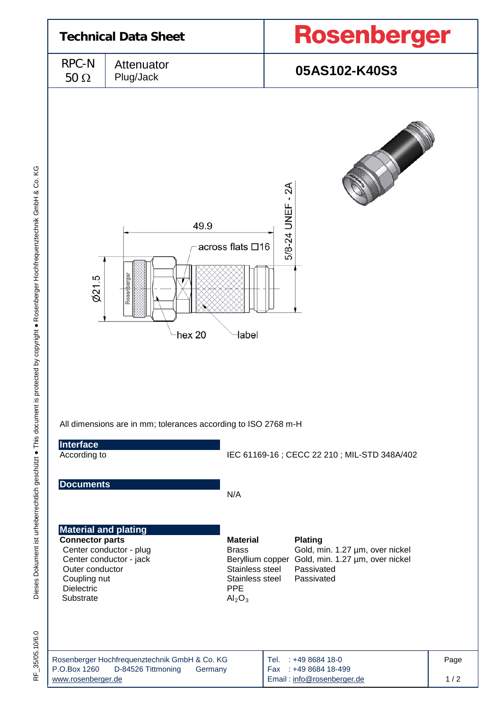

Dieses Dokument ist urheberrechtlich geschützt · This document is protected by copyright · Rosenberger Hochfrequenztechnik GmbH & Co. KG Dieses Dokument ist urheberrechtlich geschützt ● This document is protected by copyright ● Rosenberger Hochfrequenztechnik GmbH & Co. KG

35/05.10/6.0 RF\_35/05.10/6.0 눈